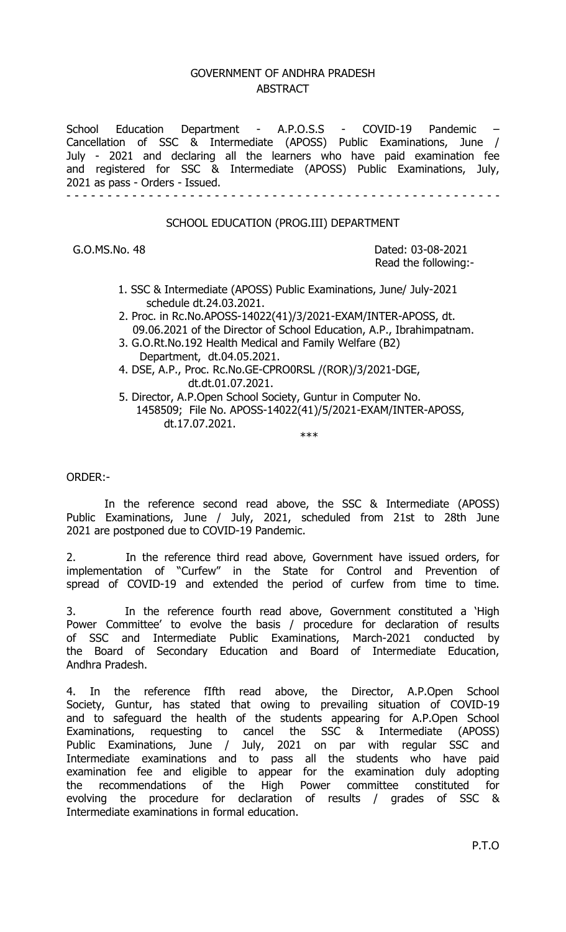## GOVERNMENT OF ANDHRA PRADESH **ABSTRACT**

School Education Department - A.P.O.S.S - COVID-19 Pandemic Cancellation of SSC & Intermediate (APOSS) Public Examinations, June / July - 2021 and declaring all the learners who have paid examination fee and registered for SSC & Intermediate (APOSS) Public Examinations, July, 2021 as pass - Orders - Issued. - - - - - - - - - - - - - - - - - - - - - - - - - - - - - - - - - - - - - - - - - - - - - - - - - - - - -

## SCHOOL EDUCATION (PROG.III) DEPARTMENT

G.O.MS.No. 48 Dated: 03-08-2021 Read the following:-

- 1. SSC & Intermediate (APOSS) Public Examinations, June/ July-2021 schedule dt.24.03.2021.
- 2. Proc. in Rc.No.APOSS-14022(41)/3/2021-EXAM/INTER-APOSS, dt. 09.06.2021 of the Director of School Education, A.P., Ibrahimpatnam.
- 3. G.O.Rt.No.192 Health Medical and Family Welfare (B2) Department, dt.04.05.2021.
- 4. DSE, A.P., Proc. Rc.No.GE-CPRO0RSL /(ROR)/3/2021-DGE, dt.dt.01.07.2021.
- 5. Director, A.P.Open School Society, Guntur in Computer No. 1458509; File No. APOSS-14022(41)/5/2021-EXAM/INTER-APOSS, dt.17.07.2021.

\*\*\*

ORDER:-

 In the reference second read above, the SSC & Intermediate (APOSS) Public Examinations, June / July, 2021, scheduled from 21st to 28th June 2021 are postponed due to COVID-19 Pandemic.

2. In the reference third read above, Government have issued orders, for implementation of "Curfew" in the State for Control and Prevention of spread of COVID-19 and extended the period of curfew from time to time.

3. In the reference fourth read above, Government constituted a 'High Power Committee' to evolve the basis / procedure for declaration of results of SSC and Intermediate Public Examinations, March-2021 conducted by the Board of Secondary Education and Board of Intermediate Education, Andhra Pradesh.

4. In the reference fIfth read above, the Director, A.P.Open School Society, Guntur, has stated that owing to prevailing situation of COVID-19 and to safeguard the health of the students appearing for A.P.Open School Examinations, requesting to cancel the SSC & Intermediate (APOSS) Public Examinations, June / July, 2021 on par with regular SSC and Intermediate examinations and to pass all the students who have paid examination fee and eligible to appear for the examination duly adopting the recommendations of the High Power committee constituted for evolving the procedure for declaration of results / grades of SSC & Intermediate examinations in formal education.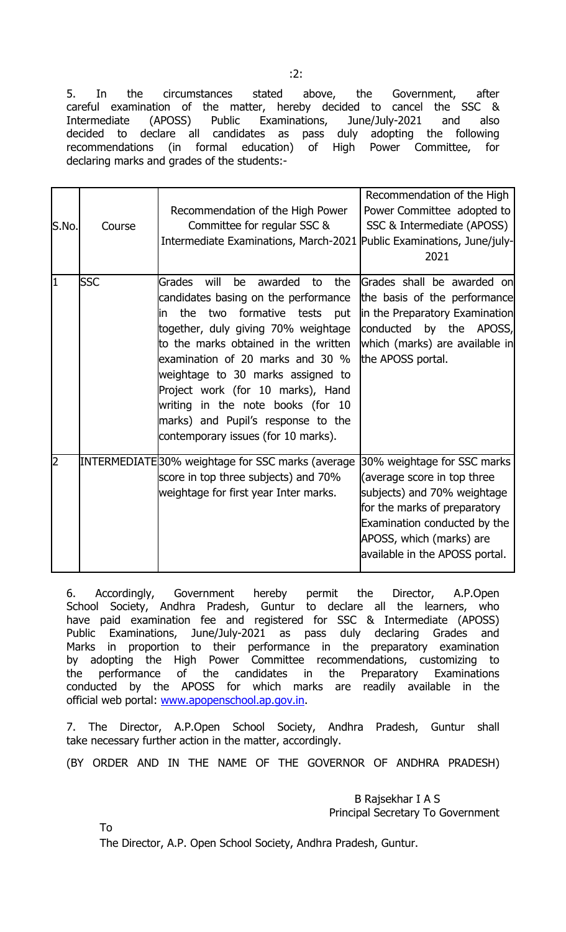5. In the circumstances stated above, the Government, after careful examination of the matter, hereby decided to cancel the SSC & Intermediate (APOSS) Public Examinations, June/July-2021 and also decided to declare all candidates as pass duly adopting the following recommendations (in formal education) of High Power Committee, for declaring marks and grades of the students:-

| S.No. | Course     | Recommendation of the High Power<br>Committee for regular SSC &<br>Intermediate Examinations, March-2021   Public Examinations, June/july-                                                                                                                                                                                                                                                                                                         | Recommendation of the High<br>Power Committee adopted to<br>SSC & Intermediate (APOSS)<br>2021                                                                                                                          |
|-------|------------|----------------------------------------------------------------------------------------------------------------------------------------------------------------------------------------------------------------------------------------------------------------------------------------------------------------------------------------------------------------------------------------------------------------------------------------------------|-------------------------------------------------------------------------------------------------------------------------------------------------------------------------------------------------------------------------|
| I1    | <b>SSC</b> | will<br>awarded<br>Grades<br>be<br>the<br>to<br>candidates basing on the performance<br>the<br>two<br>formative tests<br>put<br>lin<br>together, duly giving 70% weightage<br>to the marks obtained in the written<br>examination of 20 marks and 30 %<br>weightage to 30 marks assigned to<br>Project work (for 10 marks), Hand<br>writing in the note books (for 10<br>marks) and Pupil's response to the<br>contemporary issues (for 10 marks). | Grades shall be awarded on<br>the basis of the performance<br>in the Preparatory Examination<br>conducted by the APOSS,<br>which (marks) are available in<br>the APOSS portal.                                          |
| 12    |            | INTERMEDIATE30% weightage for SSC marks (average<br>score in top three subjects) and 70%<br>weightage for first year Inter marks.                                                                                                                                                                                                                                                                                                                  | 30% weightage for SSC marks<br>(average score in top three<br>subjects) and 70% weightage<br>for the marks of preparatory<br>Examination conducted by the<br>APOSS, which (marks) are<br>available in the APOSS portal. |

6. Accordingly, Government hereby permit the Director, A.P.Open School Society, Andhra Pradesh, Guntur to declare all the learners, who have paid examination fee and registered for SSC & Intermediate (APOSS) Public Examinations, June/July-2021 as pass duly declaring Grades and Marks in proportion to their performance in the preparatory examination by adopting the High Power Committee recommendations, customizing to the performance of the candidates in the Preparatory Examinations conducted by the APOSS for which marks are readily available in the official web portal: www.apopenschool.ap.gov.in.

7. The Director, A.P.Open School Society, Andhra Pradesh, Guntur shall take necessary further action in the matter, accordingly.

(BY ORDER AND IN THE NAME OF THE GOVERNOR OF ANDHRA PRADESH)

 B Rajsekhar I A S Principal Secretary To Government

To

The Director, A.P. Open School Society, Andhra Pradesh, Guntur.